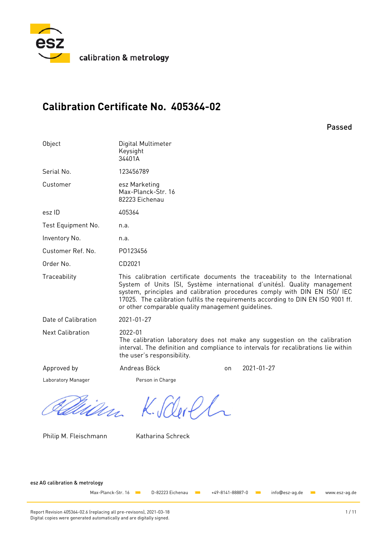

calibration & metrology

# **Calibration Certificate No. 405364-02**

Passed

| Object                  | Digital Multimeter<br>Keysight<br>34401A              |    |                                                                                                                                                                                                                                                                                                                           |
|-------------------------|-------------------------------------------------------|----|---------------------------------------------------------------------------------------------------------------------------------------------------------------------------------------------------------------------------------------------------------------------------------------------------------------------------|
| Serial No.              | 123456789                                             |    |                                                                                                                                                                                                                                                                                                                           |
| Customer                | esz Marketing<br>Max-Planck-Str. 16<br>82223 Eichenau |    |                                                                                                                                                                                                                                                                                                                           |
| esz ID                  | 405364                                                |    |                                                                                                                                                                                                                                                                                                                           |
| Test Equipment No.      | n.a.                                                  |    |                                                                                                                                                                                                                                                                                                                           |
| Inventory No.           | n.a.                                                  |    |                                                                                                                                                                                                                                                                                                                           |
| Customer Ref. No.       | P0123456                                              |    |                                                                                                                                                                                                                                                                                                                           |
| Order No.               | CD2021                                                |    |                                                                                                                                                                                                                                                                                                                           |
| Traceability            | or other comparable quality management quidelines.    |    | This calibration certificate documents the traceability to the International<br>System of Units (SI, Système international d'unités). Quality management<br>system, principles and calibration procedures comply with DIN EN ISO/ IEC<br>17025. The calibration fulfils the requirements according to DIN EN ISO 9001 ff. |
| Date of Calibration     | 2021-01-27                                            |    |                                                                                                                                                                                                                                                                                                                           |
| <b>Next Calibration</b> | 2022-01<br>the user's responsibility.                 |    | The calibration laboratory does not make any suggestion on the calibration<br>interval. The definition and compliance to intervals for recalibrations lie within                                                                                                                                                          |
| Approved by             | Andreas Böck                                          | on | 2021-01-27                                                                                                                                                                                                                                                                                                                |
| Laboratory Manager      | Person in Charge                                      |    |                                                                                                                                                                                                                                                                                                                           |
|                         |                                                       |    |                                                                                                                                                                                                                                                                                                                           |

Philip M. Fleischmann Katharina Schreck

M. VULPTUR

esz AG calibration & metrology

Max-Planck-Str. 16 CD-82223 Eichenau XXX +49-8141-88887-0 Winfo@esz-ag.de Www.esz-ag.de

Report Revision 405364-02.6 (replacing all pre-revisons), 2021-03-18 1 / 11 Digital copies were generated automatically and are digitally signed.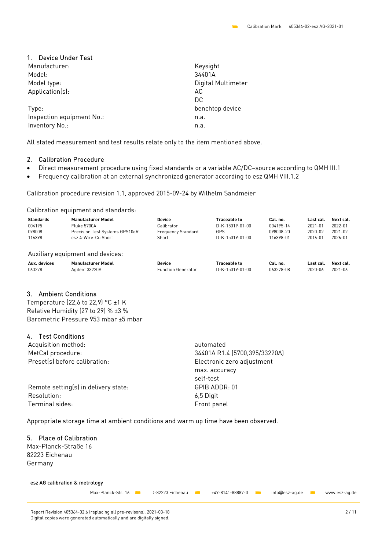# 1. Device Under Test

| Manufacturer:             | Keysight           |
|---------------------------|--------------------|
| Model:                    | 34401A             |
| Model type:               | Digital Multimeter |
| Application(s):           | AC                 |
|                           | DC                 |
| Type:                     | benchtop device    |
| Inspection equipment No.: | n.a.               |
| Inventory No.:            | n.a.               |

All stated measurement and test results relate only to the item mentioned above.

### 2. Calibration Procedure

- Direct measurement procedure using fixed standards or a variable AC/DC–source according to QMH III.1
- Frequency calibration at an external synchronized generator according to esz QMH VIII.1.2

Calibration procedure revision 1.1, approved 2015-09-24 by Wilhelm Sandmeier

Calibration equipment and standards:

| <b>Standards</b> | <b>Manufacturer Model</b>        | <b>Device</b>             | <b>Traceable to</b> | Cal. no.  | Last cal. | Next cal. |
|------------------|----------------------------------|---------------------------|---------------------|-----------|-----------|-----------|
| 004195           | Fluke 5700A                      | Calibrator                | D-K-15019-01-00     | 004195-14 | 2021-01   | 2022-01   |
| 098008           | Precision Test Systems GPS10eR   | <b>Frequency Standard</b> | GPS                 | 098008-20 | 2020-02   | 2021-02   |
| 116398           | esz 4-Wire-Cu Short              | Short                     | D-K-15019-01-00     | 116398-01 | 2016-01   | 2026-01   |
|                  | Auxiliary equipment and devices: |                           |                     |           |           |           |
| Aux. devices     | <b>Manufacturer Model</b>        | <b>Device</b>             | <b>Traceable to</b> | Cal. no.  | Last cal. | Next cal. |
| 063278           | Agilent 33220A                   | <b>Function Generator</b> | D-K-15019-01-00     | 063278-08 | 2020-06   | 2021-06   |

# 3. Ambient Conditions

Temperature (22,6 to 22,9) °C ±1 K Relative Humidity (27 to 29) % ±3 % Barometric Pressure 953 mbar ±5 mbar

# 4. Test Conditions

| Acquisition method:                  | automated                     |  |  |  |  |
|--------------------------------------|-------------------------------|--|--|--|--|
| MetCal procedure:                    | 34401A R1.4 (5700,395/33220A) |  |  |  |  |
| Preset(s) before calibration:        | Electronic zero adjustment    |  |  |  |  |
|                                      | max. accuracy                 |  |  |  |  |
|                                      | self-test                     |  |  |  |  |
| Remote setting(s) in delivery state: | GPIB ADDR: 01                 |  |  |  |  |
| Resolution:                          | 6,5 Digit                     |  |  |  |  |
| Terminal sides:                      | Front panel                   |  |  |  |  |

Appropriate storage time at ambient conditions and warm up time have been observed.

# 5. Place of Calibration

Max-Planck-Straße 16 82223 Eichenau Germany

#### esz AG calibration & metrology

Max-Planck-Str. 16 **Washer Chance 22223** Eichenau **1999 1449-8141-88887-0 info@esz-ag.de** Www.esz-ag.de

Report Revision 405364-02.6 (replacing all pre-revisons), 2021-03-18 2 / 11 Digital copies were generated automatically and are digitally signed.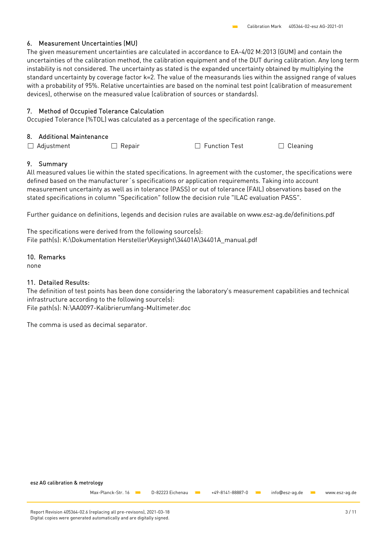# 6. Measurement Uncertainties (MU)

The given measurement uncertainties are calculated in accordance to EA-4/02 M:2013 (GUM) and contain the uncertainties of the calibration method, the calibration equipment and of the DUT during calibration. Any long term instability is not considered. The uncertainty as stated is the expanded uncertainty obtained by multiplying the standard uncertainty by coverage factor k=2. The value of the measurands lies within the assigned range of values with a probability of 95%. Relative uncertainties are based on the nominal test point (calibration of measurement devices), otherwise on the measured value (calibration of sources or standards).

# 7. Method of Occupied Tolerance Calculation

Occupied Tolerance (%TOL) was calculated as a percentage of the specification range.

### 8. Additional Maintenance

 $\Box$  Adjustment  $\Box$  Repair  $\Box$  Function Test  $\Box$  Cleaning

### 9. Summary

All measured values lie within the stated specifications. In agreement with the customer, the specifications were defined based on the manufacturer´s specifications or application requirements. Taking into account measurement uncertainty as well as in tolerance (PASS) or out of tolerance (FAIL) observations based on the stated specifications in column "Specification" follow the decision rule "ILAC evaluation PASS".

Further guidance on definitions, legends and decision rules are available on www.esz-ag.de/definitions.pdf

The specifications were derived from the following source(s): File path(s): K:\Dokumentation Hersteller\Keysight\34401A\34401A\_manual.pdf

### 10. Remarks

none

# 11. Detailed Results:

The definition of test points has been done considering the laboratory's measurement capabilities and technical infrastructure according to the following source(s): File path(s): N:\AA0097-Kalibrierumfang-Multimeter.doc

The comma is used as decimal separator.

esz AG calibration & metrology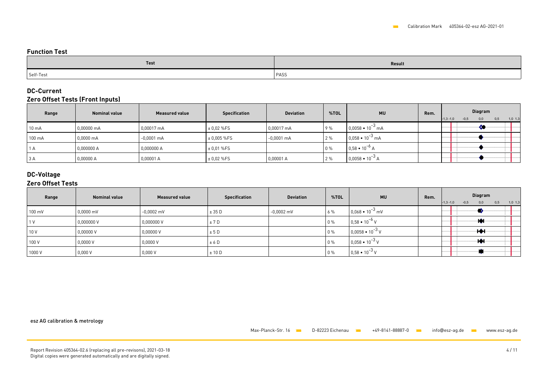### **Function Test**

| Test      | Result |
|-----------|--------|
| Self-Test | PASS   |

# **DC-Current**

### **Zero Offset Tests (Front Inputs)**

| Range           | <b>Nominal value</b> | <b>Measured value</b> | <b>Specification</b> | <b>Deviation</b> | %TOL | <b>MU</b>                 | Rem. | <b>Diagram</b><br>$-0,5$<br>$-1,3 -1,0$<br>0,5<br>$1,0$ 1,3<br>0,0 |
|-----------------|----------------------|-----------------------|----------------------|------------------|------|---------------------------|------|--------------------------------------------------------------------|
| $10 \text{ mA}$ | 0,00000 mA           | 0,00017 mA            | ± 0.02 %FS           | 0,00017 mA       | 9%   | $0.0058 \cdot 10^{-3}$ mA |      |                                                                    |
| 100 mA          | $0.0000 \text{ mA}$  | $-0,0001$ mA          | $± 0,005%$ FS        | $-0.0001$ mA     | 12%  | $0.058 \cdot 10^{-3}$ mA  |      |                                                                    |
| A               | 0,000000 A           | 0,000000 A            | ± 0.01 %FS           |                  | 0%   | $0.58 \cdot 10^{-6}$ A    |      |                                                                    |
| 3 A             | 0,00000A             | 0,00001 A             | ± 0.02 %FS           | 0,00001 A        | 2 %  | $0,0058 \cdot 10^{-3}$ A  |      |                                                                    |

# **DC-Voltage**

# **Zero Offset Tests**

| Range  | <b>Nominal value</b> | <b>Measured value</b> | <b>Specification</b> | <b>Deviation</b> | %TOL  | <b>MU</b>                | Rem. | Diagram<br>$-1,3 -1,0$<br>$-0,5$<br>0,0<br>0,5<br>$1,0$ 1,3 |
|--------|----------------------|-----------------------|----------------------|------------------|-------|--------------------------|------|-------------------------------------------------------------|
| 100 mV | $0,0000$ mV          | $-0,0002$ mV          | ± 35 D               | $-0,0002$ mV     | 6%    | $0,068 \cdot 10^{-3}$ mV |      |                                                             |
|        | 0,000000V            | 0,000000V             | ± 7D                 |                  | $0\%$ | $0,58 \cdot 10^{-6}$ V   |      | -10.                                                        |
| 10 V   | 0,00000V             | 0,00000V              | ± 5D                 |                  | $0\%$ | $0,0058 \cdot 10^{-3}$ V |      | ⊹Н                                                          |
| 100 V  | 0,0000V              | 0,0000V               | ± 6 D                |                  | $0\%$ | $0.058 \cdot 10^{-3}$ V  |      | ⊹Ю                                                          |
| 1000 V | 0,000V               | 0,000V                | ± 10 D               |                  | 0%    | $0,58 \cdot 10^{-3}$ V   |      |                                                             |

esz AG calibration & metrology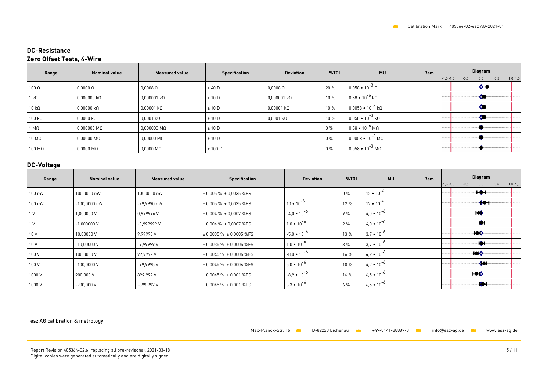### **DC-Resistance Zero Offset Tests, 4-Wire**

| Range                 | <b>Nominal value</b>  | <b>Measured value</b> | <b>Specification</b> | <b>Deviation</b>    | %TOL  | <b>MU</b>                                    | Rem. | Diagram<br>$-1,3 -1,0$<br>$-0,5$<br>0,5<br>0,0<br>$1,0$ 1,3 |
|-----------------------|-----------------------|-----------------------|----------------------|---------------------|-------|----------------------------------------------|------|-------------------------------------------------------------|
| $100\ \Omega$         | $0,0000$ $\Omega$     | $0,0008$ $\Omega$     | ± 40 D               | $0,0008$ $\Omega$   | 20 %  | $0,058 \cdot 10^{-3} \Omega$                 |      | $\bullet$                                                   |
| $1 k\Omega$           | $0,000000$ k $\Omega$ | $0,000001 k\Omega$    | ± 10 D               | $0,000001 k\Omega$  | 10 %  | $\vert$ 0,58 $\bullet$ 10 <sup>-6</sup> kΩ   |      | $\mathcal{L}$                                               |
| $10 k\Omega$          | $0,00000$ k $\Omega$  | $0,00001 k\Omega$     | ± 10 D               | $0,00001 k\Omega$   | 10 %  | $\vert$ 0,0058 $\bullet$ 10 <sup>-3</sup> kΩ |      | $\bullet$                                                   |
| $100$ kΩ              | $0,0000$ k $\Omega$   | $0,0001 k\Omega$      | ± 10 D               | $0,0001$ k $\Omega$ | 10 %  | $0.058 \cdot 10^{-3}$ kΩ                     |      | - 61                                                        |
| 1 M <sub>0</sub>      | $0,000000$ M $\Omega$ | $0,000000$ M $\Omega$ | ± 10 D               |                     | $0\%$ | $\int 0.58 \cdot 10^{-6}$ M $\Omega$         |      |                                                             |
| $10 \text{ M}\Omega$  | $0,00000$ M $\Omega$  | $0,00000$ M $\Omega$  | ± 10 D               |                     | $0\%$ | $0,0058 \cdot 10^{-3}$ MQ                    |      |                                                             |
| $100 \text{ M}\Omega$ | $0,0000$ M $\Omega$   | $0,0000$ M $\Omega$   | $\pm 100$ D          |                     | $0\%$ | $0.058 \cdot 10^{-3}$ M $\Omega$             |      |                                                             |

# **DC-Voltage**

| Range            | <b>Nominal value</b> | <b>Measured value</b> | <b>Specification</b>            | <b>Deviation</b>     | %TOL  | <b>MU</b>           | Rem. | Diagram<br>$-0,5$<br>0,5<br>$1,0$ 1,3<br>$-1,3 -1,0$<br>0,0 |
|------------------|----------------------|-----------------------|---------------------------------|----------------------|-------|---------------------|------|-------------------------------------------------------------|
| $100 \text{ mV}$ | 100,0000 mV          | 100,0000 mV           | $\pm$ 0,005 % $\pm$ 0,0035 %FS  |                      | $0\%$ | $12 \cdot 10^{-6}$  |      | ╈╋                                                          |
| 100 mV           | $-100,0000$ mV       | -99,9990 mV           | $\pm$ 0,005 % $\pm$ 0,0035 %FS  | $10 \cdot 10^{-6}$   | 12 %  | $12 \cdot 10^{-6}$  |      | ♠●⊣                                                         |
| 1 <sup>V</sup>   | 1,000000 V           | 0.999996 V            | $\pm$ 0,004 % $\pm$ 0,0007 %FS  | $-4.0 \cdot 10^{-6}$ | 9%    | $4.0 \cdot 10^{-6}$ |      | ∙ko≬                                                        |
| 1 <sup>V</sup>   | $-1,000000V$         | $-0.9999999V$         | $\pm$ 0,004 % $\pm$ 0,0007 %FS  | $1,0 \cdot 10^{-6}$  | 2%    | $4.0 \cdot 10^{-6}$ |      | -01                                                         |
| 10 V             | 10,00000 V           | 9.99995V              | $\pm$ 0,0035 % $\pm$ 0,0005 %FS | $-5.0 \cdot 10^{-6}$ | 13 %  | $3.7 \cdot 10^{-6}$ |      | ю♦                                                          |
| 10 V             | $-10,00000V$         | $-9,99999$ V          | $\pm$ 0,0035 % $\pm$ 0,0005 %FS | $1,0 \cdot 10^{-6}$  | 3%    | $3.7 \cdot 10^{-6}$ |      | ੶੶੦                                                         |
| 100 V            | 100,0000 V           | 99,9992V              | $\pm$ 0,0045 % $\pm$ 0,0006 %FS | $-8.0 \cdot 10^{-6}$ | 16 %  | $4.2 \cdot 10^{-6}$ |      | <b>HOIO</b>                                                 |
| 100 V            | $-100,0000V$         | -99.9995 V            | $\pm$ 0,0045 % $\pm$ 0,0006 %FS | $5.0 \cdot 10^{-6}$  | 10 %  | $4,2 \cdot 10^{-6}$ |      | -401                                                        |
| 1000 V           | 900,000 V            | 899,992V              | $\pm$ 0,0045 % $\pm$ 0,001 %FS  | $-8.9 \cdot 10^{-6}$ | 16 %  | $6,5 \cdot 10^{-6}$ |      | ю₿                                                          |
| 1000 V           | $-900,000V$          | $-899,997$ V          | $\pm$ 0,0045 % $\pm$ 0,001 %FS  | $3,3 \cdot 10^{-6}$  | $6\%$ | $6,5 \cdot 10^{-6}$ |      | ∙⇔⊦                                                         |

#### esz AG calibration & metrology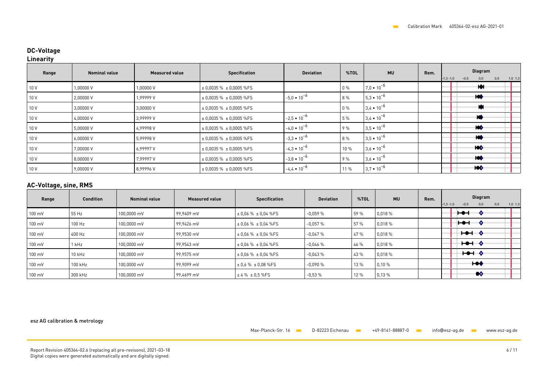# **DC-Voltage**

### **Linearity**

| Range | <b>Nominal value</b> | <b>Measured value</b> | <b>Specification</b>             | <b>Deviation</b>     | %TOL  | <b>MU</b>           | Rem. | Diagram<br>$-1,3 -1,0$<br>$-0,5$<br>0,5<br>0,0<br>$1,0$ 1,3 |
|-------|----------------------|-----------------------|----------------------------------|----------------------|-------|---------------------|------|-------------------------------------------------------------|
| 10 V  | 1,00000V             | 1,00000V              | $\pm 0,0035 \% \pm 0,0005 \%$ FS |                      | $0\%$ | $7.0 \cdot 10^{-6}$ |      | ⊹।♦⊦                                                        |
| 10 V  | 2,00000 V            | 1.99999 V             | $\pm$ 0,0035 % $\pm$ 0,0005 %FS  | $-5,0 \cdot 10^{-6}$ | 8 %   | $5.3 \cdot 10^{-6}$ |      | ·let                                                        |
| 10 V  | 3,00000V             | 3,00000V              | $\pm$ 0,0035 % $\pm$ 0,0005 %FS  |                      | $0\%$ | $3,4 \cdot 10^{-6}$ |      | w                                                           |
| 10 V  | 4,00000V             | 3,99999 V             | $\pm$ 0,0035 % $\pm$ 0,0005 %FS  | $-2,5 \cdot 10^{-6}$ | 5 %   | $3.4 \cdot 10^{-6}$ |      | -14                                                         |
| 10 V  | 5,00000V             | 4.99998 V             | $\pm$ 0,0035 % $\pm$ 0,0005 %FS  | $-4.0 \cdot 10^{-6}$ | 9%    | $3.5 \cdot 10^{-6}$ |      | ·lOÔ                                                        |
| 10 V  | 6,00000V             | 5,99998V              | $\pm$ 0,0035 % $\pm$ 0,0005 %FS  | $-3,3 \cdot 10^{-6}$ | 8 %   | $3.5 \cdot 10^{-6}$ |      | łО                                                          |
| 10 V  | 7,00000 V            | 6.99997 V             | $\pm$ 0,0035 % $\pm$ 0,0005 %FS  | $-4.3 \cdot 10^{-6}$ | 10 %  | $3.6 \cdot 10^{-6}$ |      | ·Ю≬                                                         |
| 10 V  | 8,00000 V            | 7.99997 V             | $\pm$ 0,0035 % $\pm$ 0,0005 %FS  | $-3,8 \cdot 10^{-6}$ | 9%    | $3.6 \cdot 10^{-6}$ |      | <b>HOD</b>                                                  |
| 10 V  | 9,00000V             | 8.99996 V             | $\pm$ 0,0035 % $\pm$ 0,0005 %FS  | $-4,4 \cdot 10^{-6}$ | 11 %  | $3.7 \cdot 10^{-6}$ |      | ⊹ko≬                                                        |

### **AC-Voltage, sine, RMS**

| Range            | Condition | <b>Nominal value</b> | <b>Measured value</b> | <b>Specification</b>         | <b>Deviation</b> | %TOL | <b>MU</b> | Rem. | Diagram<br>$-1,3 -1,0$<br>$-0,5$<br>0,5<br>$1,0$ 1,3<br>0,0 |
|------------------|-----------|----------------------|-----------------------|------------------------------|------------------|------|-----------|------|-------------------------------------------------------------|
| 100 mV           | 55 Hz     | 100,0000 mV          | 99.9409 mV            | $\pm$ 0.06 % $\pm$ 0.04 %FS  | $-0.059%$        | 59 % | 0.018 %   |      | Ή                                                           |
| 100 mV           | 100 Hz    | 100,0000 mV          | 99.9426 mV            | $\pm 0.06 \% \pm 0.04 \%$ FS | $-0.057%$        | 57 % | 0.018 %   |      | ⊷                                                           |
| $100 \text{ mV}$ | 400 Hz    | 100,0000 mV          | 99.9530 mV            | $\pm 0.06 \% \pm 0.04 \%$ FS | $-0.047%$        | 47 % | 0.018 %   |      | <b>⊢●⊣</b> ♦                                                |
| 100 mV           | 1 kHz     | 100,0000 mV          | 99.9543 mV            | $\pm$ 0.06 % $\pm$ 0.04 %FS  | $-0.046%$        | 46 % | 0.018 %   |      | <b>⊢⊷</b> ⊢ ♦                                               |
| 100 mV           | 10 kHz    | 100,0000 mV          | 99,9575 mV            | $\pm$ 0.06 % $\pm$ 0.04 %FS  | $-0.043%$        | 43 % | 0,018 %   |      | ਢ—⊶                                                         |
| 100 mV           | 100 kHz   | 100,0000 mV          | 99.9099 mV            | $\pm$ 0.6 % $\pm$ 0.08 %FS   | $-0.090%$        | 13 % | 0,10 %    |      | ₩∙                                                          |
| 100 mV           | 300 kHz   | 100,0000 mV          | 99.4699 mV            | $±4\%±0.5\%FS$               | $-0.53%$         | 12 % | 0,13%     |      | ∙∙                                                          |

esz AG calibration & metrology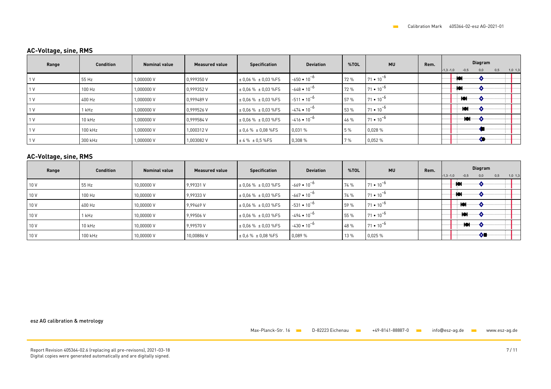# **AC-Voltage, sine, RMS**

| Range | <b>Condition</b> | <b>Nominal value</b> | <b>Measured value</b> | <b>Specification</b>         | <b>Deviation</b>     | %TOL | <b>MU</b>          | Rem. | Diagram<br>0.5<br>$-0,5$<br>0,0<br>$-1,3 -1,0$<br>$1,0$ 1,3 |
|-------|------------------|----------------------|-----------------------|------------------------------|----------------------|------|--------------------|------|-------------------------------------------------------------|
|       | 55 Hz            | 1.000000 V           | 0.999350 V            | $\pm$ 0.06 % $\pm$ 0.03 %FS  | $-650 \cdot 10^{-6}$ | 72 % | $71 \cdot 10^{-6}$ |      | ю.                                                          |
|       | 100 Hz           | 1,000000 V           | 0.999352V             | $\pm$ 0.06 % $\pm$ 0.03 %FS  | $-648 \cdot 10^{-6}$ | 72 % | $71 \cdot 10^{-6}$ |      | ъ                                                           |
|       | 400 Hz           | 1,000000V            | 0.999489 V            | $\pm$ 0.06 % $\pm$ 0.03 %FS  | $-511 \cdot 10^{-6}$ | 57 % | $71 \cdot 10^{-6}$ |      |                                                             |
|       | 1 kHz            | 1.000000 V           | 0.999526 V            | $\pm 0.06 \% \pm 0.03 \%$ FS | $-474 \cdot 10^{-6}$ | 53 % | $71 \cdot 10^{-6}$ |      | łOI.                                                        |
|       | $10$ kHz         | 1.000000 V           | 0.999584 V            | $\pm$ 0.06 % $\pm$ 0.03 %FS  | $-416 \cdot 10^{-6}$ | 46 % | $71 \cdot 10^{-6}$ |      | ∙Юŀ                                                         |
|       | 100 kHz          | 1.000000 V           | 1.000312V             | $\pm$ 0.6 % $\pm$ 0.08 %FS   | 0,031%               | 5 %  | 0.028%             |      |                                                             |
|       | 300 kHz          | 1.000000 V           | 1.003082V             | $±4\%±0.5\%FS$               | 0,308%               | 7 %  | 0.052%             |      | -0                                                          |

### **AC-Voltage, sine, RMS**

| Range | <b>Condition</b> | <b>Nominal value</b> | <b>Measured value</b> | <b>Specification</b>        | <b>Deviation</b>     | %TOL | <b>MU</b>          | Rem. | Diagram<br>0,5<br>$1,0$ 1,3<br>$-1,3 -1,0$<br>$-0,5$<br>0,0 |
|-------|------------------|----------------------|-----------------------|-----------------------------|----------------------|------|--------------------|------|-------------------------------------------------------------|
| 10V   | 55 Hz            | 10,00000 V           | 9.99331 V             | $\pm 0.06$ % $\pm 0.03$ %FS | $-669 \cdot 10^{-6}$ | 74 % | $71 \cdot 10^{-6}$ |      | ıю                                                          |
| 10 V  | 100 Hz           | 10,00000 V           | 9,99333V              | $\pm$ 0.06 % $\pm$ 0.03 %FS | $-667 \cdot 10^{-6}$ | 74 % | $71 \cdot 10^{-6}$ |      |                                                             |
| 10 V  | 400 Hz           | 10,00000 V           | 9.99469 V             | $\pm$ 0.06 % $\pm$ 0.03 %FS | $-531 \cdot 10^{-6}$ | 59 % | $71 \cdot 10^{-6}$ |      | <b>JAL</b><br>. .                                           |
| 10 V  | 1 kHz            | 10,00000 V           | 9,99506 V             | $\pm$ 0.06 % $\pm$ 0.03 %FS | $-494 \cdot 10^{-6}$ | 55 % | $71 \cdot 10^{-6}$ |      | ioi                                                         |
| 10 V  | 10 kHz           | 10,00000 V           | 9.99570 V             | $\pm$ 0.06 % $\pm$ 0.03 %FS | $-430 \cdot 10^{-6}$ | 48 % | $71 \cdot 10^{-6}$ |      | ₩                                                           |
| 10 V  | 100 kHz          | 10,00000 V           | 10,00886V             | $\pm$ 0.6 % $\pm$ 0.08 %FS  | 0,089 %              | 13 % | 0.025%             |      | -60                                                         |

esz AG calibration & metrology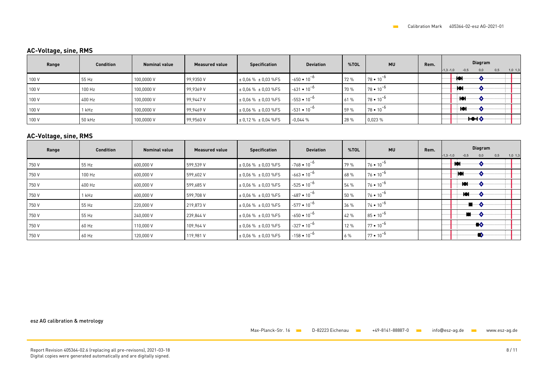# **AC-Voltage, sine, RMS**

| Range | <b>Condition</b> | <b>Nominal value</b> | <b>Measured value</b> | <b>Specification</b>        | <b>Deviation</b>     | %TOL | <b>MU</b>          | Rem. | Diagram<br>$-0,5$<br>$1,0$ $1,3$<br>$-1,3 -1,0$<br>0,0<br>0,5 |
|-------|------------------|----------------------|-----------------------|-----------------------------|----------------------|------|--------------------|------|---------------------------------------------------------------|
| 100 V | 55 Hz            | 100,0000 V           | 99.9350 V             | $\pm$ 0.06 % $\pm$ 0.03 %FS | $-650 \cdot 10^{-6}$ | 72 % | $78 \cdot 10^{-7}$ |      |                                                               |
| 100 V | 100 Hz           | 100,0000 V           | 99.9369 V             | $\pm$ 0.06 % $\pm$ 0.03 %FS | $-631 \cdot 10^{-6}$ | 70 % | $78 \cdot 10^{-6}$ |      | ·lOl                                                          |
| 100 V | 400 Hz           | 100,0000 V           | 99.9447 V             | $\pm$ 0.06 % $\pm$ 0.03 %FS | $-553 \cdot 10^{-6}$ | 61 % | $78 \cdot 10^{-6}$ |      | -101                                                          |
| 100 V | 1 kHz            | 100,0000 V           | 99.9469 V             | $\pm$ 0.06 % $\pm$ 0.03 %FS | $-531 \cdot 10^{-6}$ | 59 % | $78 \cdot 10^{-6}$ |      | الهال<br>т от                                                 |
| 100 V | 50 kHz           | 100,0000 V           | 99,9560 V             | $\pm$ 0.12 % $\pm$ 0.04 %FS | $-0.044%$            | 28 % | 0,023%             |      | <b>HO⊣♦</b>                                                   |

### **AC-Voltage, sine, RMS**

| Range | <b>Condition</b> | <b>Nominal value</b> | <b>Measured value</b> | <b>Specification</b>         | <b>Deviation</b>     | %TOL  | <b>MU</b>          | Rem. | Diagram<br>$-0,5$<br>0,5<br>$-1,3 -1,0$<br>0,0<br>$1,0$ 1,3 |
|-------|------------------|----------------------|-----------------------|------------------------------|----------------------|-------|--------------------|------|-------------------------------------------------------------|
| 750 V | 55 Hz            | 600.000 V            | 599.539 V             | $\pm$ 0.06 % $\pm$ 0.03 %FS  | $-768 \cdot 10^{-6}$ | 79 %  | $76 \cdot 10^{-6}$ |      | ъ.                                                          |
| 750 V | 100 Hz           | 600,000 V            | 599,602 V             | $\pm 0.06$ % $\pm 0.03$ %FS  | $-663 \cdot 10^{-6}$ | 68 %  | $76 \cdot 10^{-6}$ |      |                                                             |
| 750 V | 400 Hz           | 600,000 V            | 599,685 V             | $\pm$ 0.06 % $\pm$ 0.03 %FS  | $-525 \cdot 10^{-6}$ | 54 %  | $76 \cdot 10^{-6}$ |      | ₩.                                                          |
| 750 V | 1 kHz            | 600,000 V            | 599,708 V             | $\pm$ 0.06 % $\pm$ 0.03 %FS  | $-487 \cdot 10^{-6}$ | 50 %  | $76 \cdot 10^{-6}$ |      | łОł                                                         |
| 750 V | 55 Hz            | 220,000 V            | 219.873 V             | $\pm$ 0.06 % $\pm$ 0.03 %FS  | $-577 \cdot 10^{-6}$ | 36 %  | $74 \cdot 10^{-6}$ |      | ∙∎…⊸∧                                                       |
| 750 V | 55 Hz            | 240,000 V            | 239,844 V             | $\pm$ 0.06 % $\pm$ 0.03 %FS  | $-650 \cdot 10^{-6}$ | 42 %  | $85 \cdot 10^{-6}$ |      |                                                             |
| 750 V | 60 Hz            | 110,000 V            | 109,964 V             | $\pm$ 0.06 % $\pm$ 0.03 %FS  | $-327 \cdot 10^{-6}$ | 12 %  | $77 \cdot 10^{-6}$ |      | ∙∎♦                                                         |
| 750 V | 60 Hz            | 120,000 V            | 119,981 V             | $\pm 0.06 \% \pm 0.03 \%$ FS | $-158 \cdot 10^{-6}$ | $6\%$ | $77 \cdot 10^{-6}$ |      |                                                             |

esz AG calibration & metrology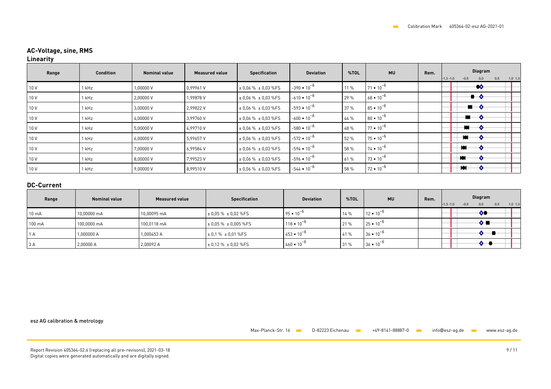# **AC-Voltage, sine, RMS**

### **Linearity**

| Range | <b>Condition</b> | <b>Nominal value</b> | <b>Measured value</b> | <b>Specification</b>        | <b>Deviation</b>     | %TOL | <b>MU</b>          | Rem. | Diagram<br>$-1,3 -1,0$<br>$-0,5$<br>0,0<br>0,5<br>$1,0$ 1,3 |
|-------|------------------|----------------------|-----------------------|-----------------------------|----------------------|------|--------------------|------|-------------------------------------------------------------|
| 10 V  | 1 kHz            | 1,00000V             | 0,99961V              | $\pm$ 0.06 % $\pm$ 0.03 %FS | $-390 \cdot 10^{-6}$ | 11 % | $71 \cdot 10^{-6}$ |      | ∙∙o                                                         |
| 10 V  | 1 kHz            | 2,00000V             | 1,99878 V             | $\pm$ 0.06 % $\pm$ 0.03 %FS | $-610 \cdot 10^{-6}$ | 29 % | $68 \cdot 10^{-6}$ |      | ∙ — 0                                                       |
| 10 V  | 1 kHz            | 3,00000V             | 2,99822V              | $\pm$ 0.06 % $\pm$ 0.03 %FS | $-593 \cdot 10^{-6}$ | 37 % | $85 \cdot 10^{-6}$ |      | ੶੶■⋯੶੶੦                                                     |
| 10 V  | 1 kHz            | 4,00000V             | 3,99760V              | $\pm$ 0.06 % $\pm$ 0.03 %FS | $-600 \cdot 10^{-6}$ | 44 % | $80 \cdot 10^{-6}$ |      | ▅▏                                                          |
| 10 V  | 1 kHz            | 5,00000V             | 4.99710V              | $\pm$ 0.06 % $\pm$ 0.03 %FS | $-580 \cdot 10^{-6}$ | 48 % | $77 \cdot 10^{-6}$ |      | -9-                                                         |
| 10 V  | 1 kHz            | 6,00000V             | 5,99657 V             | $\pm$ 0.06 % $\pm$ 0.03 %FS | $-572 \cdot 10^{-6}$ | 52 % | $75 \cdot 10^{-6}$ |      | ₩……                                                         |
| 10 V  | 1 kHz            | 7,00000V             | 6,99584 V             | $\pm$ 0.06 % $\pm$ 0.03 %FS | $-594 \cdot 10^{-6}$ | 58 % | $74 \cdot 10^{-6}$ |      |                                                             |
| 10 V  | 1 kHz            | 8,00000V             | 7,99523V              | $\pm$ 0.06 % $\pm$ 0.03 %FS | $-596 \cdot 10^{-6}$ | 61 % | $73 \cdot 10^{-6}$ |      | ۰lei                                                        |
| 10 V  | 1 kHz            | 9,00000V             | 8.99510 V             | $\pm$ 0.06 % $\pm$ 0.03 %FS | $-544 \cdot 10^{-6}$ | 58 % | $72 \cdot 10^{-6}$ |      | ∙l●l……                                                      |

### **DC-Current**

| Range           | <b>Nominal value</b> | <b>Measured value</b> | Specification                 | <b>Deviation</b>     | %TOL | <b>MU</b>          | Rem. | Diagram<br>0.5<br>$-1,3 -1,0$<br>$-0,5$<br>$1,0$ $1,3$<br>0,0 |
|-----------------|----------------------|-----------------------|-------------------------------|----------------------|------|--------------------|------|---------------------------------------------------------------|
| $10 \text{ mA}$ | 10.00000 mA          | 10.00095 mA           | $\pm 0.05 \% \pm 0.02 \%$ FS  | $95 \cdot 10^{-6}$   | 14 % | $12 \cdot 10^{-9}$ |      | ∾                                                             |
| 100 mA          | 100,0000 mA          | 100,0118 mA           | $\pm 0.05 \% \pm 0.005 \%$ FS | $118 \cdot 10^{-6}$  | 21 % | $25 \cdot 10^{-7}$ |      |                                                               |
| 1 A             | 1,000000 A           | 1,000453 A            | $\pm 0.1 \% \pm 0.01 \%$ FS   | $453 \cdot 10^{-6}$  | 41 % | $36 \cdot 10^{-6}$ |      |                                                               |
| 3A              | 2,00000 A            | 2,00092 A             | $\pm 0.12 \% \pm 0.02 \%$ FS  | $1460 \cdot 10^{-6}$ | 31 % | $36 \cdot 10^{-7}$ |      |                                                               |

esz AG calibration & metrology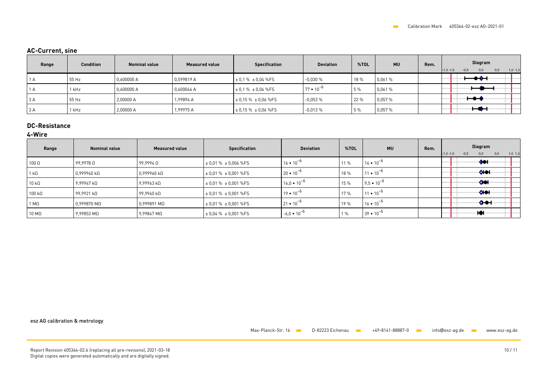### **AC-Current, sine**

| Range | <b>Condition</b> | <b>Nominal value</b> | <b>Measured value</b> | <b>Specification</b>        | <b>Deviation</b>   | %TOL | <b>MU</b> | Rem. | Diagram<br>$-0.5$<br>$-1,3 -1,0$<br>0,0<br>0,5<br>$1,0$ 1,3 |
|-------|------------------|----------------------|-----------------------|-----------------------------|--------------------|------|-----------|------|-------------------------------------------------------------|
| AA    | 55 Hz            | 0,600000 A           | 0.599819 A            | $\pm$ 0.1 % $\pm$ 0.04 % FS | $-0.030%$          | 18 % | 0,061 %   |      | بمم                                                         |
| ΙA    | 1 kHz            | 0,600000 A           | 0,600046 A            | $\pm$ 0.1 % $\pm$ 0.04 %FS  | $77 \cdot 10^{-6}$ | 5 %  | 0,061 %   |      |                                                             |
| 3A    | 55 Hz            | 2,00000 A            | 1,99894 A             | $\pm$ 0.15 % $\pm$ 0.06 %FS | $-0.053%$          | 22 % | 0,057 %   |      |                                                             |
| 3A    | 1 kHz            | 2,00000 A            | 1.99975 A             | $\pm$ 0.15 % $\pm$ 0.06 %FS | $-0.013%$          | 5 %  | 0,057 %   |      | ⊷                                                           |

# **DC-Resistance**

#### **4-Wire**

| Range                 | <b>Nominal value</b>  | <b>Measured value</b> | <b>Specification</b>          | <b>Deviation</b>     | %TOL  | <b>MU</b>           | Rem. | <b>Diagram</b><br>$-1,3 -1,0$<br>0,5<br>$-0,5$<br>$1,0$ 1,3<br>0,0 |
|-----------------------|-----------------------|-----------------------|-------------------------------|----------------------|-------|---------------------|------|--------------------------------------------------------------------|
| $100 \Omega$          | $99,9978$ Q           | $99.9994$ $\Omega$    | $\pm 0.01 \% \pm 0.004 \%$ FS | $16 \cdot 10^{-6}$   | 11 %  | $14 \cdot 10^{-6}$  |      | -401-                                                              |
| 1 kΩ                  | 0,999940 kΩ           | $0.999960$ k $\Omega$ | $\pm 0.01 \% \pm 0.001 \%$ FS | $20 \cdot 10^{-6}$   | 18 %  | $11 \cdot 10^{-6}$  |      | <b>DIOH</b>                                                        |
| $10 k\Omega$          | 9,99947 k             | 9,99963 kΩ            | $\pm 0.01 \% \pm 0.001 \%$ FS | $16.0 \cdot 10^{-6}$ | 15 %  | $9,5 \cdot 10^{-6}$ |      | -401                                                               |
| $100 \text{ k}\Omega$ | 99,9921 kΩ            | 99,9940 kΩ            | $\pm 0.01 \% \pm 0.001 \%$ FS | $19 \cdot 10^{-6}$   | 17 %  | $11 \cdot 10^{-6}$  |      | <b>OHOH</b>                                                        |
| Ι ΜΩ                  | $0,999870$ M $\Omega$ | 0,999891 MΩ           | $\pm 0.01 \% \pm 0.001 \%$ FS | $21 \cdot 10^{-6}$   | 19 %  | $16 \cdot 10^{-6}$  |      | ᡧᡨ                                                                 |
| $10 \text{ M}\Omega$  | $9,99853$ M $\Omega$  | 9,99847 MΩ            | $\pm$ 0.04 % $\pm$ 0.001 %FS  | $-6.0 \cdot 10^{-6}$ | $1\%$ | $39 \cdot 10^{-6}$  |      | ⊣♦                                                                 |

esz AG calibration & metrology